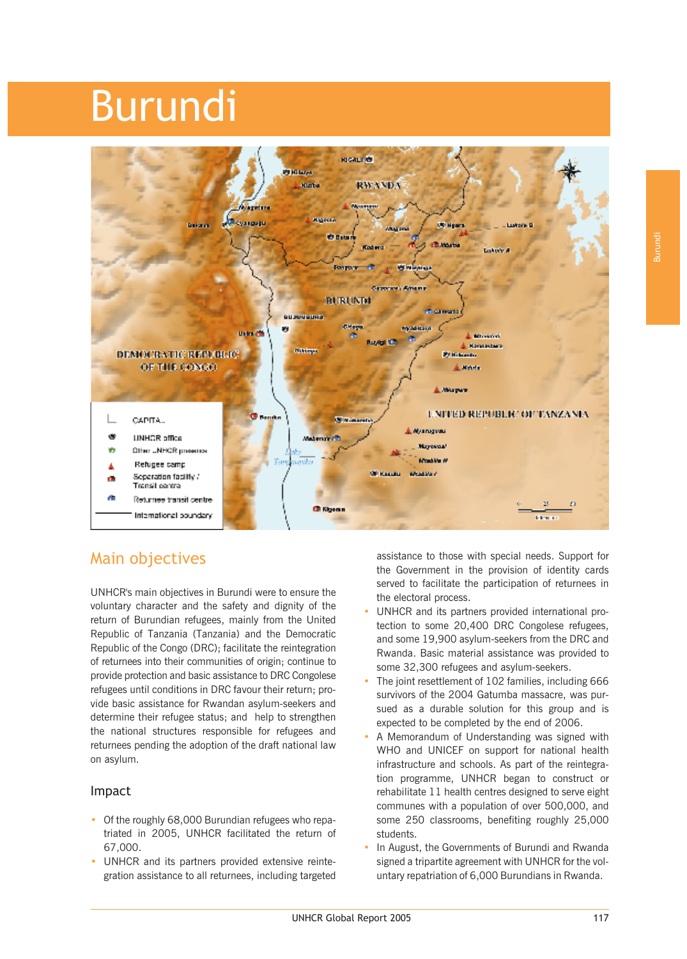# Burundi



# Main objectives

UNHCR's main objectives in Burundi were to ensure the voluntary character and the safety and dignity of the return of Burundian refugees, mainly from the United Republic of Tanzania (Tanzania) and the Democratic Republic of the Congo (DRC); facilitate the reintegration of returnees into their communities of origin; continue to provide protection and basic assistance to DRC Congolese refugees until conditions in DRC favour their return; provide basic assistance for Rwandan asylum-seekers and determine their refugee status; and help to strengthen the national structures responsible for refugees and returnees pending the adoption of the draft national law on asylum.

# Impact

- Of the roughly 68,000 Burundian refugees who repatriated in 2005, UNHCR facilitated the return of 67,000.
- UNHCR and its partners provided extensive reintegration assistance to all returnees, including targeted

assistance to those with special needs. Support for the Government in the provision of identity cards served to facilitate the participation of returnees in the electoral process.

- UNHCR and its partners provided international protection to some 20,400 DRC Congolese refugees, and some 19,900 asylum-seekers from the DRC and Rwanda. Basic material assistance was provided to some 32,300 refugees and asylum-seekers.
- The joint resettlement of 102 families, including 666 survivors of the 2004 Gatumba massacre, was pursued as a durable solution for this group and is expected to be completed by the end of 2006.
- A Memorandum of Understanding was signed with WHO and UNICEF on support for national health infrastructure and schools. As part of the reintegration programme, UNHCR began to construct or rehabilitate 11 health centres designed to serve eight communes with a population of over 500,000, and some 250 classrooms, benefiting roughly 25,000 students.
- In August, the Governments of Burundi and Rwanda signed a tripartite agreement with UNHCR for the voluntary repatriation of 6,000 Burundians in Rwanda.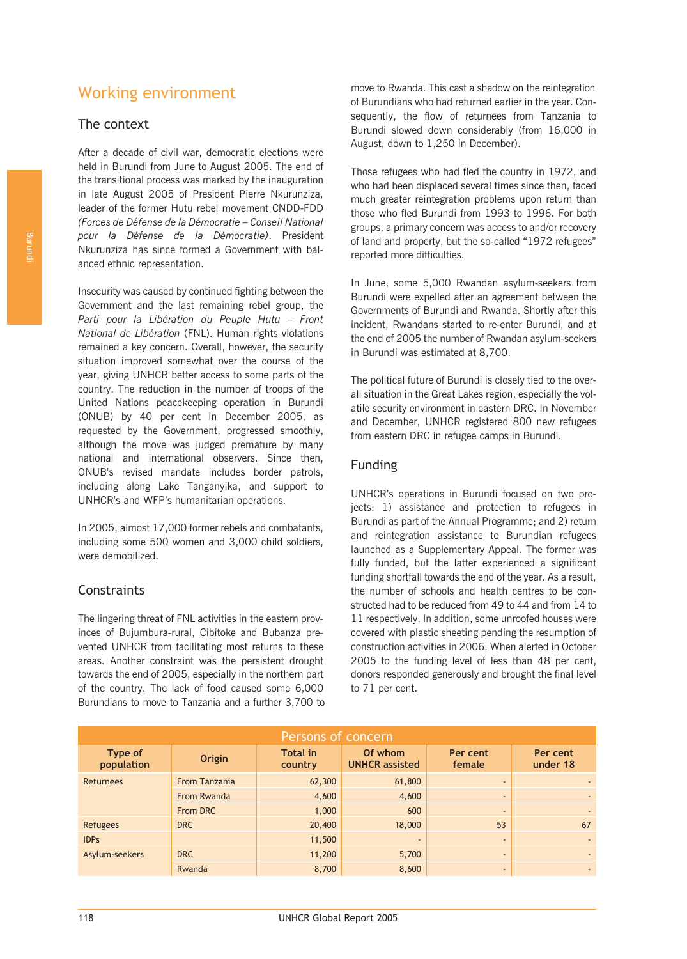# Working environment

# The context

After a decade of civil war, democratic elections were held in Burundi from June to August 2005. The end of the transitional process was marked by the inauguration in late August 2005 of President Pierre Nkurunziza, leader of the former Hutu rebel movement CNDD-FDD *(Forces de Défense de la Démocratie – Conseil National pour la Défense de la Démocratie)*. President Nkurunziza has since formed a Government with balanced ethnic representation.

Insecurity was caused by continued fighting between the Government and the last remaining rebel group, the *Parti pour la Libération du Peuple Hutu – Front National de Libération* (FNL). Human rights violations remained a key concern. Overall, however, the security situation improved somewhat over the course of the year, giving UNHCR better access to some parts of the country. The reduction in the number of troops of the United Nations peacekeeping operation in Burundi (ONUB) by 40 per cent in December 2005, as requested by the Government, progressed smoothly, although the move was judged premature by many national and international observers. Since then, ONUB's revised mandate includes border patrols, including along Lake Tanganyika, and support to UNHCR's and WFP's humanitarian operations.

In 2005, almost 17,000 former rebels and combatants, including some 500 women and 3,000 child soldiers, were demobilized.

# **Constraints**

The lingering threat of FNL activities in the eastern provinces of Bujumbura-rural, Cibitoke and Bubanza prevented UNHCR from facilitating most returns to these areas. Another constraint was the persistent drought towards the end of 2005, especially in the northern part of the country. The lack of food caused some 6,000 Burundians to move to Tanzania and a further 3,700 to of Burundians who had returned earlier in the year. Consequently, the flow of returnees from Tanzania to Burundi slowed down considerably (from 16,000 in August, down to 1,250 in December). move to Rwanda. This cast a shadow on the reintegration

Those refugees who had fled the country in 1972, and who had been displaced several times since then, faced much greater reintegration problems upon return than those who fled Burundi from 1993 to 1996. For both groups, a primary concern was access to and/or recovery of land and property, but the so-called "1972 refugees" reported more difficulties.

In June, some 5,000 Rwandan asylum-seekers from Burundi were expelled after an agreement between the Governments of Burundi and Rwanda. Shortly after this incident, Rwandans started to re-enter Burundi, and at the end of 2005 the number of Rwandan asylum-seekers in Burundi was estimated at 8,700.

The political future of Burundi is closely tied to the overall situation in the Great Lakes region, especially the volatile security environment in eastern DRC. In November and December, UNHCR registered 800 new refugees from eastern DRC in refugee camps in Burundi.

# Funding

UNHCR's operations in Burundi focused on two projects: 1) assistance and protection to refugees in Burundi as part of the Annual Programme; and 2) return and reintegration assistance to Burundian refugees launched as a Supplementary Appeal. The former was fully funded, but the latter experienced a significant funding shortfall towards the end of the year. As a result, the number of schools and health centres to be constructed had to be reduced from 49 to 44 and from 14 to 11 respectively. In addition, some unroofed houses were covered with plastic sheeting pending the resumption of construction activities in 2006. When alerted in October 2005 to the funding level of less than 48 per cent, donors responded generously and brought the final level to 71 per cent.

| Persons of concern    |                      |                            |                                  |                          |                      |  |  |  |  |
|-----------------------|----------------------|----------------------------|----------------------------------|--------------------------|----------------------|--|--|--|--|
| Type of<br>population | Origin               | <b>Total in</b><br>country | Of whom<br><b>UNHCR</b> assisted | Per cent<br>female       | Per cent<br>under 18 |  |  |  |  |
| <b>Returnees</b>      | <b>From Tanzania</b> | 62,300                     | 61,800                           | $\overline{a}$           |                      |  |  |  |  |
|                       | From Rwanda          | 4,600                      | 4,600                            | $\overline{a}$           |                      |  |  |  |  |
|                       | From DRC             | 1,000                      | 600                              | $\overline{\phantom{a}}$ |                      |  |  |  |  |
| Refugees              | <b>DRC</b>           | 20,400                     | 18,000                           | 53                       | 67                   |  |  |  |  |
| <b>IDPs</b>           |                      | 11,500                     | $\overline{\phantom{a}}$         | $\overline{a}$           |                      |  |  |  |  |
| Asylum-seekers        | DRC                  | 11,200                     | 5,700                            | $\overline{\phantom{a}}$ |                      |  |  |  |  |
|                       | Rwanda               | 8,700                      | 8,600                            | $\overline{\phantom{a}}$ |                      |  |  |  |  |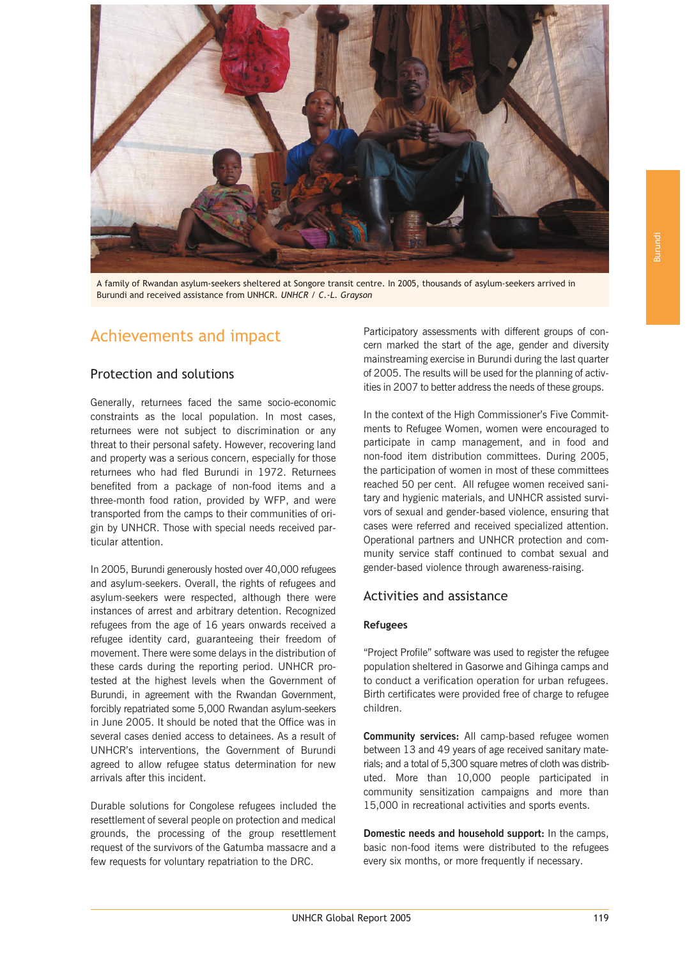

A family of Rwandan asylum-seekers sheltered at Songore transit centre. In 2005, thousands of asylum-seekers arrived in Burundi and received assistance from UNHCR. *UNHCR / C.-L. Grayson*

# Achievements and impact

## Protection and solutions

Generally, returnees faced the same socio-economic constraints as the local population. In most cases, returnees were not subject to discrimination or any threat to their personal safety. However, recovering land and property was a serious concern, especially for those returnees who had fled Burundi in 1972. Returnees benefited from a package of non-food items and a three-month food ration, provided by WFP, and were transported from the camps to their communities of origin by UNHCR. Those with special needs received particular attention.

In 2005, Burundi generously hosted over 40,000 refugees and asylum-seekers. Overall, the rights of refugees and asylum-seekers were respected, although there were instances of arrest and arbitrary detention. Recognized refugees from the age of 16 years onwards received a refugee identity card, guaranteeing their freedom of movement. There were some delays in the distribution of these cards during the reporting period. UNHCR protested at the highest levels when the Government of Burundi, in agreement with the Rwandan Government, forcibly repatriated some 5,000 Rwandan asylum-seekers in June 2005. It should be noted that the Office was in several cases denied access to detainees. As a result of UNHCR's interventions, the Government of Burundi agreed to allow refugee status determination for new arrivals after this incident.

Durable solutions for Congolese refugees included the resettlement of several people on protection and medical grounds, the processing of the group resettlement request of the survivors of the Gatumba massacre and a few requests for voluntary repatriation to the DRC.

Participatory assessments with different groups of concern marked the start of the age, gender and diversity mainstreaming exercise in Burundi during the last quarter of 2005. The results will be used for the planning of activities in 2007 to better address the needs of these groups.

In the context of the High Commissioner's Five Commitments to Refugee Women, women were encouraged to participate in camp management, and in food and non-food item distribution committees. During 2005, the participation of women in most of these committees reached 50 per cent. All refugee women received sanitary and hygienic materials, and UNHCR assisted survivors of sexual and gender-based violence, ensuring that cases were referred and received specialized attention. Operational partners and UNHCR protection and community service staff continued to combat sexual and gender-based violence through awareness-raising.

## Activities and assistance

#### **Refugees**

"Project Profile" software was used to register the refugee Birth certificates were provided free of charge to refugee children. to conduct a verification operation for urban refugees. population sheltered in Gasorwe and Gihinga camps and

**Community services:** All camp-based refugee women between 13 and 49 years of age received sanitary mateuted. More than 10,000 people participated in community sensitization campaigns and more than 15,000 in recreational activities and sports events. rials; and a total of 5,300 square metres of cloth was distrib-

**Domestic needs and household support:** In the camps, basic non-food items were distributed to the refugees every six months, or more frequently if necessary.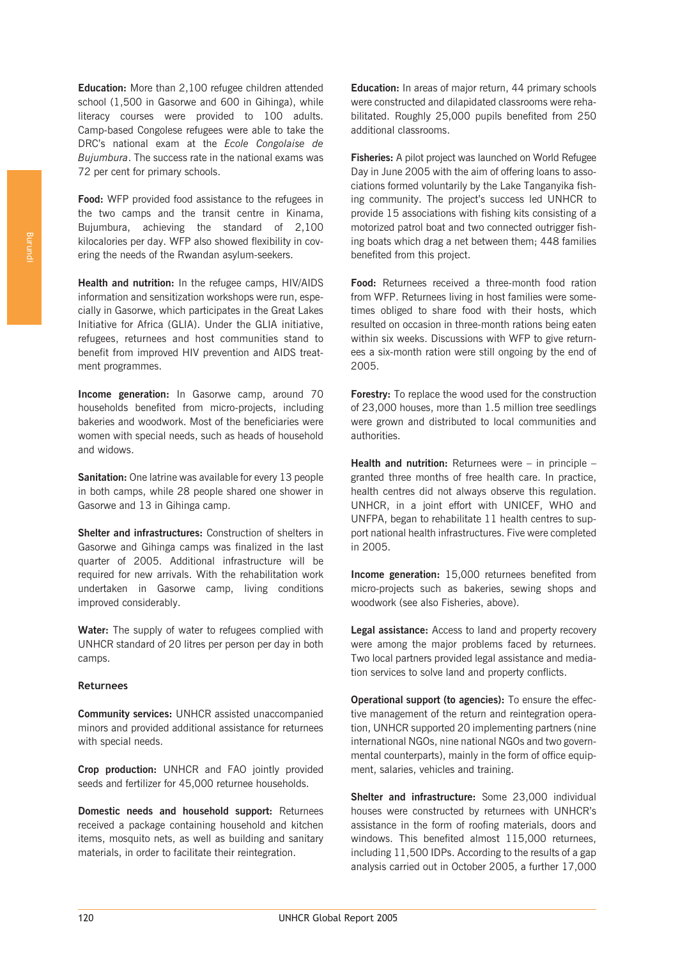**Education:** More than 2,100 refugee children attended school (1,500 in Gasorwe and 600 in Gihinga), while literacy courses were provided to 100 adults. Camp-based Congolese refugees were able to take the DRC's national exam at the *Ecole Congolaise de Bujumbura*. The success rate in the national exams was 72 per cent for primary schools.

**Food:** WFP provided food assistance to the refugees in the two camps and the transit centre in Kinama, Bujumbura, achieving the standard of 2,100 kilocalories per day. WFP also showed flexibility in covering the needs of the Rwandan asylum-seekers.

**Health and nutrition:** In the refugee camps, HIV/AIDS information and sensitization workshops were run, especially in Gasorwe, which participates in the Great Lakes Initiative for Africa (GLIA). Under the GLIA initiative, refugees, returnees and host communities stand to benefit from improved HIV prevention and AIDS treatment programmes.

**Income generation:** In Gasorwe camp, around 70 households benefited from micro-projects, including bakeries and woodwork. Most of the beneficiaries were women with special needs, such as heads of household and widows.

**Sanitation:** One latrine was available for every 13 people in both camps, while 28 people shared one shower in Gasorwe and 13 in Gihinga camp.

**Shelter and infrastructures:** Construction of shelters in Gasorwe and Gihinga camps was finalized in the last quarter of 2005. Additional infrastructure will be required for new arrivals. With the rehabilitation work undertaken in Gasorwe camp, living conditions improved considerably.

**Water:** The supply of water to refugees complied with UNHCR standard of 20 litres per person per day in both camps.

#### **Returnees**

**Community services:** UNHCR assisted unaccompanied minors and provided additional assistance for returnees with special needs.

**Crop production:** UNHCR and FAO jointly provided seeds and fertilizer for 45,000 returnee households.

**Domestic needs and household support:** Returnees received a package containing household and kitchen items, mosquito nets, as well as building and sanitary materials, in order to facilitate their reintegration.

**Education:** In areas of major return, 44 primary schools were constructed and dilapidated classrooms were rehabilitated. Roughly 25,000 pupils benefited from 250 additional classrooms.

**Fisheries:** A pilot project was launched on World Refugee Day in June 2005 with the aim of offering loans to associations formed voluntarily by the Lake Tanganyika fishing community. The project's success led UNHCR to provide 15 associations with fishing kits consisting of a motorized patrol boat and two connected outrigger fishing boats which drag a net between them; 448 families benefited from this project.

**Food:** Returnees received a three-month food ration from WFP. Returnees living in host families were sometimes obliged to share food with their hosts, which resulted on occasion in three-month rations being eaten within six weeks. Discussions with WFP to give returnees a six-month ration were still ongoing by the end of 2005.

**Forestry:** To replace the wood used for the construction of 23,000 houses, more than 1.5 million tree seedlings were grown and distributed to local communities and authorities.

**Health and nutrition:** Returnees were – in principle – granted three months of free health care. In practice, health centres did not always observe this regulation. UNHCR, in a joint effort with UNICEF, WHO and UNFPA, began to rehabilitate 11 health centres to support national health infrastructures. Five were completed in 2005.

**Income generation:** 15,000 returnees benefited from micro-projects such as bakeries, sewing shops and woodwork (see also Fisheries, above).

**Legal assistance:** Access to land and property recovery were among the major problems faced by returnees. Two local partners provided legal assistance and mediation services to solve land and property conflicts.

**Operational support (to agencies):** To ensure the effective management of the return and reintegration operation, UNHCR supported 20 implementing partners (nine international NGOs, nine national NGOs and two governmental counterparts), mainly in the form of office equipment, salaries, vehicles and training.

**Shelter and infrastructure:** Some 23,000 individual houses were constructed by returnees with UNHCR's assistance in the form of roofing materials, doors and windows. This benefited almost 115,000 returnees, including 11,500 IDPs. According to the results of a gap analysis carried out in October 2005, a further 17,000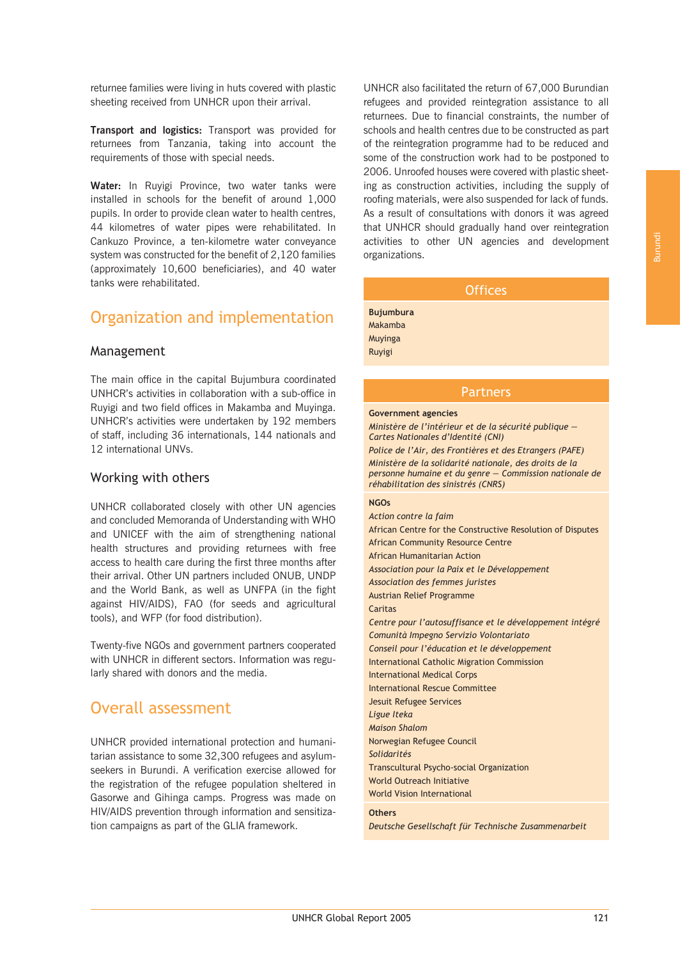returnee families were living in huts covered with plastic sheeting received from UNHCR upon their arrival.

**Transport and logistics:** Transport was provided for returnees from Tanzania, taking into account the requirements of those with special needs.

**Water:** In Ruyigi Province, two water tanks were installed in schools for the benefit of around 1,000 pupils. In order to provide clean water to health centres, 44 kilometres of water pipes were rehabilitated. In Cankuzo Province, a ten-kilometre water conveyance system was constructed for the benefit of 2,120 families (approximately 10,600 beneficiaries), and 40 water tanks were rehabilitated.

# Organization and implementation

#### Management

The main office in the capital Bujumbura coordinated UNHCR's activities in collaboration with a sub-office in Ruyigi and two field offices in Makamba and Muyinga. UNHCR's activities were undertaken by 192 members of staff, including 36 internationals, 144 nationals and 12 international UNVs.

#### Working with others

UNHCR collaborated closely with other UN agencies and concluded Memoranda of Understanding with WHO and UNICEF with the aim of strengthening national health structures and providing returnees with free access to health care during the first three months after their arrival. Other UN partners included ONUB, UNDP and the World Bank, as well as UNFPA (in the fight against HIV/AIDS), FAO (for seeds and agricultural tools), and WFP (for food distribution).

Twenty-five NGOs and government partners cooperated with UNHCR in different sectors. Information was regularly shared with donors and the media.

# Overall assessment

UNHCR provided international protection and humanitarian assistance to some 32,300 refugees and asylumseekers in Burundi. A verification exercise allowed for the registration of the refugee population sheltered in Gasorwe and Gihinga camps. Progress was made on HIV/AIDS prevention through information and sensitization campaigns as part of the GLIA framework.

UNHCR also facilitated the return of 67,000 Burundian refugees and provided reintegration assistance to all returnees. Due to financial constraints, the number of schools and health centres due to be constructed as part of the reintegration programme had to be reduced and some of the construction work had to be postponed to 2006. Unroofed houses were covered with plastic sheeting as construction activities, including the supply of roofing materials, were also suspended for lack of funds. As a result of consultations with donors it was agreed that UNHCR should gradually hand over reintegration activities to other UN agencies and development organizations.

# **Offices**

**Bujumbura** Makamba Muyinga Ruyigi

## Partners

#### **Government agencies**

*Ministère de l'intérieur et de la sécurité publique — Cartes Nationales d'Identité (CNI)*

*Police de l'Air, des Frontières et des Etrangers (PAFE) Ministère de la solidarité nationale, des droits de la personne humaine et du genre — Commission nationale de réhabilitation des sinistrés (CNRS)*

#### **NGOs**

*Action contre la faim* African Centre for the Constructive Resolution of Disputes African Community Resource Centre African Humanitarian Action *Association pour la Paix et le Développement Association des femmes juristes* Austrian Relief Programme Caritas *Centre pour l'autosuffisance et le développement intégré Comunità Impegno Servizio Volontariato Conseil pour l'éducation et le développement* International Catholic Migration Commission International Medical Corps International Rescue Committee Jesuit Refugee Services *Ligue Iteka Maison Shalom* Norwegian Refugee Council *Solidarités* Transcultural Psycho-social Organization World Outreach Initiative World Vision International **Others**

*Deutsche Gesellschaft für Technische Zusammenarbeit*